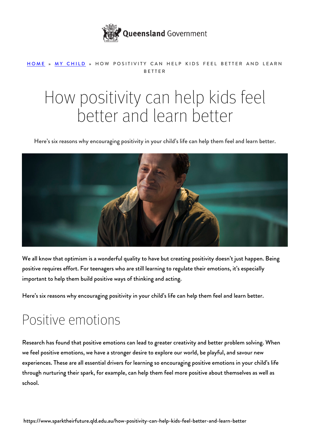

#### [HOME](https://www.sparktheirfuture.qld.edu.au/) » [MY CHILD](https://www.sparktheirfuture.qld.edu.au/category/my-child/) » HOW POSITIVITY CAN HELP KIDS FEEL BETTER AND LEARN BETTER

# How positivity can help kids feel better and learn better

Here's six reasons why encouraging positivity in your child's life can help them feel and learn better.



We all know that optimism is a wonderful quality to have but creating positivity doesn't just happen. Being positive requires effort. For teenagers who are still [learning to regulate their emotions](https://www.sparktheirfuture.qld.edu.au/understanding-the-teenage-brain/), it's especially important to help them build positive ways of thinking and acting.

Here's six reasons why encouraging positivity in your child's life can help them feel and learn better.

#### Positive emotions

Research has found that positive emotions can lead to greater creativity and better problem solving. When we feel positive emotions, we have a stronger desire to explore our world, be playful, and savour new experiences. These are all essential drivers for learning so encouraging positive emotions in your child's life through [nurturing their spark,](https://www.sparktheirfuture.qld.edu.au/how-to-nurture-your-childs-spark/) for example, can help them feel more positive about themselves as well as school.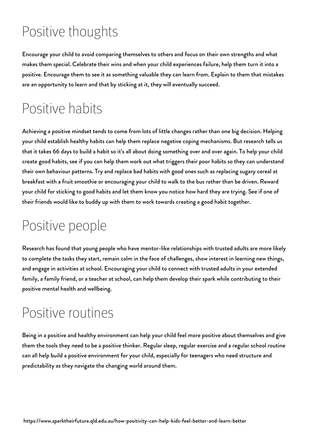# Positive thoughts

Encourage your child to avoid comparing themselves to others and focus on their own strengths and what makes them special. [Celebrate their wins](https://www.sparktheirfuture.qld.edu.au/why-celebrating-wins-can-help-your-child/) and when your child experiences failure, help them turn it into a positive. Encourage them to see it as something valuable they can learn from. Explain to them that mistakes are an opportunity to learn and that by sticking at it, they will eventually succeed.

#### Positive habits

Achieving a positive mindset tends to come from lots of little changes rather than one big decision. Helping your child establish healthy habits can help them replace negative coping mechanisms. But research tells us that it takes 66 days to build a habit so it's all about doing something over and over again. To help your child create good habits, see if you can help them work out what triggers their poor habits so they can understand their own behaviour patterns. Try and replace bad habits with good ones such as replacing sugary cereal at breakfast with a fruit smoothie or encouraging your child to walk to the bus rather than be driven. Reward your child for sticking to good habits and let them know you notice how hard they are trying. See if one of their friends would like to buddy up with them to work towards creating a good habit together.

### Positive people

Research has found that young people who have mentor-like relationships with trusted adults are more likely to complete the tasks they start, remain calm in the face of challenges, show interest in learning new things, and engage in activities at school. Encouraging your child to [connect with trusted adults](https://www.sparktheirfuture.qld.edu.au/how-trusted-adults-can-help-nurture-your-childs-spark/) in your extended family, a family friend, or a teacher at school, can help them develop their spark while contributing to their positive mental health and wellbeing.

#### Positive routines

Being in a positive and healthy environment can help your child feel more positive about themselves and give them the tools they need to be a positive thinker. Regular sleep, regular exercise and a regular school routine can all help build a positive environment for your child, especially for [teenagers who need structure and](https://www.sparktheirfuture.qld.edu.au/why-routines-matter-for-growing-teenage-brains/) [predictability](https://www.sparktheirfuture.qld.edu.au/why-routines-matter-for-growing-teenage-brains/) as they navigate the changing world around them.